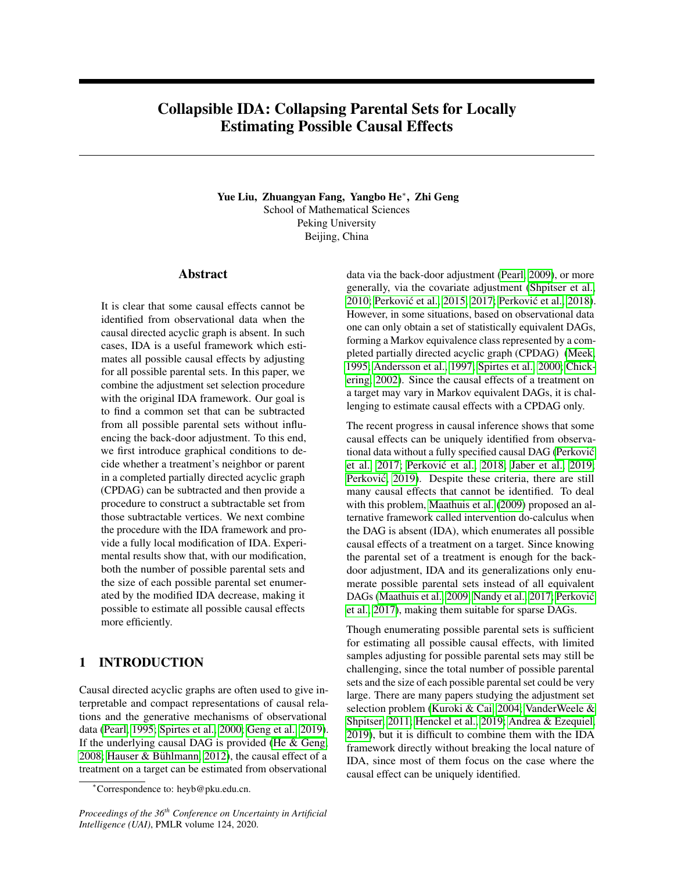# Collapsible IDA: Collapsing Parental Sets for Locally Estimating Possible Causal Effects

Yue Liu, Zhuangyan Fang, Yangbo He<sup>∗</sup> , Zhi Geng School of Mathematical Sciences Peking University Beijing, China

## Abstract

It is clear that some causal effects cannot be identified from observational data when the causal directed acyclic graph is absent. In such cases, IDA is a useful framework which estimates all possible causal effects by adjusting for all possible parental sets. In this paper, we combine the adjustment set selection procedure with the original IDA framework. Our goal is to find a common set that can be subtracted from all possible parental sets without influencing the back-door adjustment. To this end, we first introduce graphical conditions to decide whether a treatment's neighbor or parent in a completed partially directed acyclic graph (CPDAG) can be subtracted and then provide a procedure to construct a subtractable set from those subtractable vertices. We next combine the procedure with the IDA framework and provide a fully local modification of IDA. Experimental results show that, with our modification, both the number of possible parental sets and the size of each possible parental set enumerated by the modified IDA decrease, making it possible to estimate all possible causal effects more efficiently.

## 1 INTRODUCTION

Causal directed acyclic graphs are often used to give interpretable and compact representations of causal relations and the generative mechanisms of observational data [\(Pearl, 1995;](#page-9-0) [Spirtes et al., 2000;](#page-9-1) [Geng et al., 2019\)](#page-9-2). If the underlying causal DAG is provided [\(He & Geng,](#page-9-3) [2008;](#page-9-3) Hauser & Bühlmann, 2012), the causal effect of a treatment on a target can be estimated from observational

data via the back-door adjustment [\(Pearl, 2009\)](#page-9-5), or more generally, via the covariate adjustment [\(Shpitser et al.,](#page-9-6) [2010;](#page-9-6) Perković et al., 2015, [2017;](#page-9-8) [Perkovi](#page-9-9)ć et al., [2018\)](#page-9-9). However, in some situations, based on observational data one can only obtain a set of statistically equivalent DAGs, forming a Markov equivalence class represented by a completed partially directed acyclic graph (CPDAG) [\(Meek,](#page-9-10) [1995;](#page-9-10) [Andersson et al., 1997;](#page-9-11) [Spirtes et al., 2000;](#page-9-1) [Chick](#page-9-12)[ering, 2002\)](#page-9-12). Since the causal effects of a treatment on a target may vary in Markov equivalent DAGs, it is challenging to estimate causal effects with a CPDAG only.

The recent progress in causal inference shows that some causal effects can be uniquely identified from observational data without a fully specified causal DAG [\(Perkovic´](#page-9-8) [et al., 2017;](#page-9-8) Perković et al., 2018; [Jaber et al., 2019;](#page-9-13) Perković, 2019). Despite these criteria, there are still many causal effects that cannot be identified. To deal with this problem, [Maathuis et al.](#page-9-15) [\(2009\)](#page-9-15) proposed an alternative framework called intervention do-calculus when the DAG is absent (IDA), which enumerates all possible causal effects of a treatment on a target. Since knowing the parental set of a treatment is enough for the backdoor adjustment, IDA and its generalizations only enumerate possible parental sets instead of all equivalent DAGs [\(Maathuis et al., 2009;](#page-9-15) [Nandy et al., 2017;](#page-9-16) [Perkovic´](#page-9-8) [et al., 2017\)](#page-9-8), making them suitable for sparse DAGs.

Though enumerating possible parental sets is sufficient for estimating all possible causal effects, with limited samples adjusting for possible parental sets may still be challenging, since the total number of possible parental sets and the size of each possible parental set could be very large. There are many papers studying the adjustment set selection problem [\(Kuroki & Cai, 2004;](#page-9-17) [VanderWeele &](#page-9-18) [Shpitser, 2011;](#page-9-18) [Henckel et al., 2019;](#page-9-19) [Andrea & Ezequiel,](#page-9-20) [2019\)](#page-9-20), but it is difficult to combine them with the IDA framework directly without breaking the local nature of IDA, since most of them focus on the case where the causal effect can be uniquely identified.

<sup>∗</sup>Correspondence to: heyb@pku.edu.cn.

*Proceedings of the 36th Conference on Uncertainty in Artificial Intelligence (UAI)*, PMLR volume 124, 2020.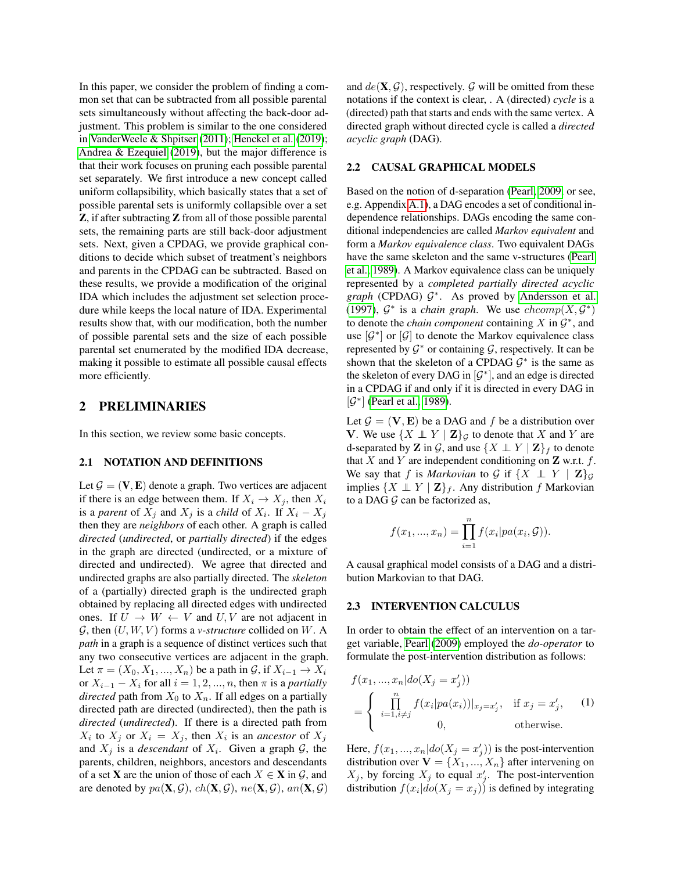In this paper, we consider the problem of finding a common set that can be subtracted from all possible parental sets simultaneously without affecting the back-door adjustment. This problem is similar to the one considered in [VanderWeele & Shpitser](#page-9-18) [\(2011\)](#page-9-18); [Henckel et al.](#page-9-19) [\(2019\)](#page-9-19); [Andrea & Ezequiel](#page-9-20) [\(2019\)](#page-9-20), but the major difference is that their work focuses on pruning each possible parental set separately. We first introduce a new concept called uniform collapsibility, which basically states that a set of possible parental sets is uniformly collapsible over a set Z, if after subtracting Z from all of those possible parental sets, the remaining parts are still back-door adjustment sets. Next, given a CPDAG, we provide graphical conditions to decide which subset of treatment's neighbors and parents in the CPDAG can be subtracted. Based on these results, we provide a modification of the original IDA which includes the adjustment set selection procedure while keeps the local nature of IDA. Experimental results show that, with our modification, both the number of possible parental sets and the size of each possible parental set enumerated by the modified IDA decrease, making it possible to estimate all possible causal effects more efficiently.

## 2 PRELIMINARIES

In this section, we review some basic concepts.

#### 2.1 NOTATION AND DEFINITIONS

Let  $\mathcal{G} = (\mathbf{V}, \mathbf{E})$  denote a graph. Two vertices are adjacent if there is an edge between them. If  $X_i \to X_i$ , then  $X_i$ is a *parent* of  $X_j$  and  $X_j$  is a *child* of  $X_i$ . If  $X_i - X_j$ then they are *neighbors* of each other. A graph is called *directed* (*undirected*, or *partially directed*) if the edges in the graph are directed (undirected, or a mixture of directed and undirected). We agree that directed and undirected graphs are also partially directed. The *skeleton* of a (partially) directed graph is the undirected graph obtained by replacing all directed edges with undirected ones. If  $U \rightarrow W \leftarrow V$  and  $U, V$  are not adjacent in  $G$ , then  $(U, W, V)$  forms a *v*-structure collided on W. A *path* in a graph is a sequence of distinct vertices such that any two consecutive vertices are adjacent in the graph. Let  $\pi = (X_0, X_1, ..., X_n)$  be a path in  $\mathcal{G}$ , if  $X_{i-1} \to X_i$ or  $X_{i-1} - X_i$  for all  $i = 1, 2, ..., n$ , then  $\pi$  is a *partially directed* path from  $X_0$  to  $X_n$ . If all edges on a partially directed path are directed (undirected), then the path is *directed* (*undirected*). If there is a directed path from  $X_i$  to  $X_j$  or  $X_i = X_j$ , then  $X_i$  is an *ancestor* of  $X_j$ and  $X_j$  is a *descendant* of  $X_i$ . Given a graph  $G$ , the parents, children, neighbors, ancestors and descendants of a set **X** are the union of those of each  $X \in \mathbf{X}$  in  $\mathcal{G}$ , and are denoted by  $pa(\mathbf{X}, \mathcal{G})$ ,  $ch(\mathbf{X}, \mathcal{G})$ ,  $ne(\mathbf{X}, \mathcal{G})$ ,  $an(\mathbf{X}, \mathcal{G})$  and  $de(\mathbf{X}, \mathcal{G})$ , respectively. G will be omitted from these notations if the context is clear, . A (directed) *cycle* is a (directed) path that starts and ends with the same vertex. A directed graph without directed cycle is called a *directed acyclic graph* (DAG).

#### 2.2 CAUSAL GRAPHICAL MODELS

Based on the notion of d-separation [\(Pearl, 2009,](#page-9-5) or see, e.g. Appendix [A.1\)](#page--1-0), a DAG encodes a set of conditional independence relationships. DAGs encoding the same conditional independencies are called *Markov equivalent* and form a *Markov equivalence class*. Two equivalent DAGs have the same skeleton and the same v-structures [\(Pearl](#page-9-21) [et al., 1989\)](#page-9-21). A Markov equivalence class can be uniquely represented by a *completed partially directed acyclic* graph (CPDAG)  $G^*$ . As proved by [Andersson et al.](#page-9-11) [\(1997\)](#page-9-11),  $\mathcal{G}^*$  is a *chain graph*. We use  $chcomp(X, \mathcal{G}^*)$ to denote the *chain component* containing  $X$  in  $\mathcal{G}^*$ , and use  $[\mathcal{G}^*]$  or  $[\mathcal{G}]$  to denote the Markov equivalence class represented by  $G^*$  or containing  $G$ , respectively. It can be shown that the skeleton of a CPDAG  $G^*$  is the same as the skeleton of every DAG in  $[\mathcal{G}^*]$ , and an edge is directed in a CPDAG if and only if it is directed in every DAG in [ $\mathcal{G}^*$ ] [\(Pearl et al., 1989\)](#page-9-21).

Let  $\mathcal{G} = (\mathbf{V}, \mathbf{E})$  be a DAG and f be a distribution over V. We use  $\{X \perp Y \mid \mathbf{Z}\}\mathcal{G}$  to denote that X and Y are d-separated by **Z** in  $\mathcal{G}$ , and use  $\{X \perp Y | \mathbf{Z}\}_f$  to denote that X and Y are independent conditioning on  $\bf{Z}$  w.r.t. f. We say that f is *Markovian* to G if  $\{X \perp Y \mid \mathbf{Z}\}_G$ implies  $\{X \perp Y \mid \mathbf{Z}\}_f$ . Any distribution f Markovian to a DAG  $G$  can be factorized as,

$$
f(x_1, ..., x_n) = \prod_{i=1}^n f(x_i | pa(x_i, \mathcal{G})).
$$

A causal graphical model consists of a DAG and a distribution Markovian to that DAG.

#### 2.3 INTERVENTION CALCULUS

In order to obtain the effect of an intervention on a target variable, [Pearl](#page-9-5) [\(2009\)](#page-9-5) employed the *do-operator* to formulate the post-intervention distribution as follows:

$$
f(x_1, ..., x_n | do(X_j = x'_j))
$$
  
= 
$$
\begin{cases} \prod_{i=1, i \neq j}^n f(x_i | pa(x_i))|_{x_j = x'_j}, & \text{if } x_j = x'_j, \\ 0, & \text{otherwise.} \end{cases}
$$
 (1)

Here,  $f(x_1, ..., x_n|do(X_j = x'_j))$  is the post-intervention distribution over  $V = \{X_1, ..., X_n\}$  after intervening on  $X_j$ , by forcing  $X_j$  to equal  $x'_j$ . The post-intervention distribution  $f(x_i|do(X_j = x_j))$  is defined by integrating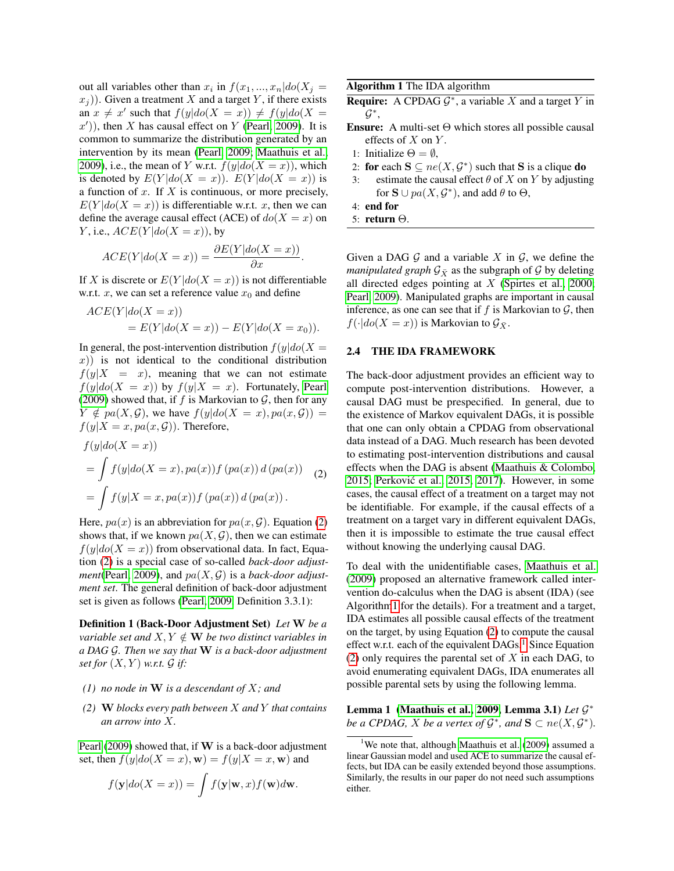out all variables other than  $x_i$  in  $f(x_1, ..., x_n|do(X_j =$  $(x_i)$ ). Given a treatment X and a target Y, if there exists an  $x \neq x'$  such that  $f(y|do(X = x)) \neq f(y|do(X = x))$  $(x')$ ), then X has causal effect on Y [\(Pearl, 2009\)](#page-9-5). It is common to summarize the distribution generated by an intervention by its mean [\(Pearl, 2009;](#page-9-5) [Maathuis et al.,](#page-9-15) [2009\)](#page-9-15), i.e., the mean of Y w.r.t.  $f(y|do(X = x))$ , which is denoted by  $E(Y|do(X = x))$ .  $E(Y|do(X = x))$  is a function of  $x$ . If  $X$  is continuous, or more precisely,  $E(Y|do(X = x))$  is differentiable w.r.t. x, then we can define the average causal effect (ACE) of  $do(X = x)$  on Y, i.e.,  $ACE(Y|do(X = x))$ , by

$$
ACE(Y|do(X=x)) = \frac{\partial E(Y|do(X=x))}{\partial x}.
$$

If X is discrete or  $E(Y|do(X = x))$  is not differentiable w.r.t. x, we can set a reference value  $x_0$  and define

$$
ACE(Y|do(X = x))
$$
  
=  $E(Y|do(X = x)) - E(Y|do(X = x_0)).$ 

In general, the post-intervention distribution  $f(y|do(X =$  $(x)$ ) is not identical to the conditional distribution  $f(y|X = x)$ , meaning that we can not estimate  $f(y|do(X = x))$  by  $f(y|X = x)$ . Fortunately, [Pearl](#page-9-5) [\(2009\)](#page-9-5) showed that, if f is Markovian to  $G$ , then for any  $Y \notin pa(X, \mathcal{G})$ , we have  $f(y|do(X = x), pa(x, \mathcal{G})) =$  $f(y|X=x, pa(x, \mathcal{G}))$ . Therefore,

<span id="page-2-0"></span>
$$
f(y|do(X = x))
$$
  
= 
$$
\int f(y|do(X = x), pa(x)) f(pa(x)) d(pa(x))
$$
 (2)  
= 
$$
\int f(y|X = x, pa(x)) f(pa(x)) d(pa(x)).
$$

Here,  $pa(x)$  is an abbreviation for  $pa(x, \mathcal{G})$ . Equation [\(2\)](#page-2-0) shows that, if we known  $pa(X, \mathcal{G})$ , then we can estimate  $f(y|do(X = x))$  from observational data. In fact, Equation [\(2\)](#page-2-0) is a special case of so-called *back-door adjustment*[\(Pearl, 2009\)](#page-9-5), and  $pa(X, \mathcal{G})$  is a *back-door adjustment set*. The general definition of back-door adjustment set is given as follows [\(Pearl, 2009,](#page-9-5) Definition 3.3.1):

Definition 1 (Back-Door Adjustment Set) *Let* W *be a variable set and*  $X, Y \notin \mathbf{W}$  *be two distinct variables in a DAG* G*. Then we say that* W *is a back-door adjustment set for*  $(X, Y)$  *w.r.t.*  $\mathcal G$  *if:* 

- *(1) no node in* W *is a descendant of* X*; and*
- *(2)* W *blocks every path between* X *and* Y *that contains an arrow into* X*.*

[Pearl](#page-9-5) [\(2009\)](#page-9-5) showed that, if  $W$  is a back-door adjustment set, then  $f(y|do(X = x), \mathbf{w}) = f(y|X = x, \mathbf{w})$  and

$$
f(\mathbf{y}|do(X=x)) = \int f(\mathbf{y}|\mathbf{w},x) f(\mathbf{w}) d\mathbf{w}.
$$

<span id="page-2-1"></span>Algorithm 1 The IDA algorithm

- **Require:** A CPDAG  $G^*$ , a variable X and a target Y in  $\mathcal{G}^*$ ,
- **Ensure:** A multi-set  $\Theta$  which stores all possible causal effects of  $X$  on  $Y$ .
- 1: Initialize  $\Theta = \emptyset$ ,
- 2: for each  $S \subseteq ne(X, \mathcal{G}^*)$  such that S is a clique do
- 3: estimate the causal effect  $\theta$  of X on Y by adjusting for  $\mathbf{S} \cup pa(X, \mathcal{G}^*)$ , and add  $\theta$  to  $\Theta$ ,
- 4: end for
- 5: return Θ.

Given a DAG  $G$  and a variable X in  $G$ , we define the *manipulated graph*  $G_{\bar{X}}$  as the subgraph of G by deleting all directed edges pointing at  $X$  [\(Spirtes et al., 2000;](#page-9-1) [Pearl, 2009\)](#page-9-5). Manipulated graphs are important in causal inference, as one can see that if f is Markovian to  $G$ , then  $f(\cdot|do(X = x))$  is Markovian to  $\mathcal{G}_{\bar{X}}$ .

### <span id="page-2-4"></span>2.4 THE IDA FRAMEWORK

The back-door adjustment provides an efficient way to compute post-intervention distributions. However, a causal DAG must be prespecified. In general, due to the existence of Markov equivalent DAGs, it is possible that one can only obtain a CPDAG from observational data instead of a DAG. Much research has been devoted to estimating post-intervention distributions and causal effects when the DAG is absent [\(Maathuis & Colombo,](#page-9-22) [2015;](#page-9-22) [Perkovic et al., 2015,](#page-9-7) [2017\)](#page-9-8). However, in some ´ cases, the causal effect of a treatment on a target may not be identifiable. For example, if the causal effects of a treatment on a target vary in different equivalent DAGs, then it is impossible to estimate the true causal effect without knowing the underlying causal DAG.

To deal with the unidentifiable cases, [Maathuis et al.](#page-9-15) [\(2009\)](#page-9-15) proposed an alternative framework called intervention do-calculus when the DAG is absent (IDA) (see Algorith[m1](#page-2-1) for the details). For a treatment and a target, IDA estimates all possible causal effects of the treatment on the target, by using Equation [\(2\)](#page-2-0) to compute the causal effect w.r.t. each of the equivalent  $DAGs<sup>1</sup>$  $DAGs<sup>1</sup>$  $DAGs<sup>1</sup>$ . Since Equation [\(2\)](#page-2-0) only requires the parental set of  $X$  in each DAG, to avoid enumerating equivalent DAGs, IDA enumerates all possible parental sets by using the following lemma.

<span id="page-2-3"></span>Lemma 1 [\(Maathuis et al., 2009,](#page-9-15) Lemma 3.1) *Let* G ∗ *be a CPDAG,*  $X$  *be a vertex of*  $\mathcal{G}^*$ *, and*  $\mathbf{S} \subset ne(X, \mathcal{G}^*)$ *.* 

<span id="page-2-2"></span><sup>&</sup>lt;sup>1</sup>We note that, although [Maathuis et al.](#page-9-15)  $(2009)$  assumed a linear Gaussian model and used ACE to summarize the causal effects, but IDA can be easily extended beyond those assumptions. Similarly, the results in our paper do not need such assumptions either.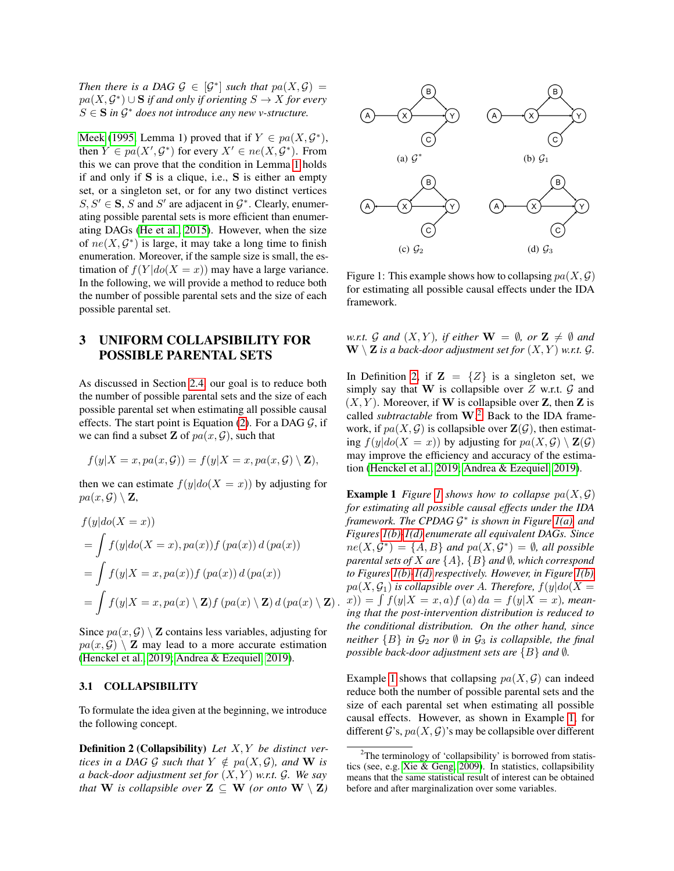*Then there is a DAG*  $\mathcal{G} \in [\mathcal{G}^*]$  *such that*  $pa(X, \mathcal{G}) =$  $pa(X, \mathcal{G}^*) \cup \mathbf{S}$  if and only if orienting  $S \to X$  for every  $S \in \mathbf{S}$  in  $\mathcal{G}^*$  does not introduce any new v-structure.

[Meek](#page-9-10) [\(1995,](#page-9-10) Lemma 1) proved that if  $Y \in pa(X, \mathcal{G}^*)$ , then  $Y \in pa(X', \mathcal{G}^*)$  for every  $X' \in ne(X, \mathcal{G}^*)$ . From this we can prove that the condition in Lemma [1](#page-2-3) holds if and only if S is a clique, i.e., S is either an empty set, or a singleton set, or for any two distinct vertices  $S, S' \in \mathbf{S}, S$  and S' are adjacent in  $\mathcal{G}^*$ . Clearly, enumerating possible parental sets is more efficient than enumerating DAGs [\(He et al., 2015\)](#page-9-23). However, when the size of  $ne(X, \mathcal{G}^*)$  is large, it may take a long time to finish enumeration. Moreover, if the sample size is small, the estimation of  $f(Y|do(X = x))$  may have a large variance. In the following, we will provide a method to reduce both the number of possible parental sets and the size of each possible parental set.

## 3 UNIFORM COLLAPSIBILITY FOR POSSIBLE PARENTAL SETS

As discussed in Section [2.4,](#page-2-4) our goal is to reduce both the number of possible parental sets and the size of each possible parental set when estimating all possible causal effects. The start point is Equation [\(2\)](#page-2-0). For a DAG  $G$ , if we can find a subset **Z** of  $pa(x, \mathcal{G})$ , such that

$$
f(y|X=x, pa(x, G)) = f(y|X=x, pa(x, G) \setminus \mathbf{Z}),
$$

then we can estimate  $f(y|do(X = x))$  by adjusting for  $pa(x, \mathcal{G}) \setminus \mathbf{Z}$ ,

$$
f(y|do(X = x))
$$
  
=  $\int f(y|do(X = x), pa(x))f(pa(x)) d(pa(x))$   
=  $\int f(y|X = x, pa(x))f(pa(x)) d(pa(x))$   
=  $\int f(y|X = x, pa(x) \setminus \mathbf{Z})f(pa(x) \setminus \mathbf{Z}) d(pa(x) \setminus \mathbf{Z}).$ 

Since  $pa(x, \mathcal{G}) \setminus \mathbf{Z}$  contains less variables, adjusting for  $pa(x, \mathcal{G}) \setminus \mathbf{Z}$  may lead to a more accurate estimation [\(Henckel et al., 2019;](#page-9-19) [Andrea & Ezequiel, 2019\)](#page-9-20).

#### 3.1 COLLAPSIBILITY

To formulate the idea given at the beginning, we introduce the following concept.

<span id="page-3-0"></span>Definition 2 (Collapsibility) *Let* X, Y *be distinct vertices in a DAG G such that*  $Y \notin pa(X, G)$ *, and* **W** *is a back-door adjustment set for* (X, Y ) *w.r.t.* G*. We say that* **W** *is collapsible over*  $\mathbf{Z} \subseteq \mathbf{W}$  *(or onto*  $\mathbf{W} \setminus \mathbf{Z}$ *)* 

<span id="page-3-4"></span><span id="page-3-3"></span>

<span id="page-3-5"></span><span id="page-3-2"></span>Figure 1: This example shows how to collapsing  $pa(X, \mathcal{G})$ for estimating all possible causal effects under the IDA framework.

*w.r.t.*  $\mathcal G$  *and*  $(X, Y)$ *, if either*  $\mathbf W = \emptyset$ *, or*  $\mathbf Z \neq \emptyset$  *and*  $\mathbf{W} \setminus \mathbf{Z}$  *is a back-door adjustment set for*  $(X, Y)$  *w.r.t.*  $\mathcal{G}$ *.* 

In Definition [2,](#page-3-0) if  $\mathbf{Z} = \{Z\}$  is a singleton set, we simply say that W is collapsible over  $Z$  w.r.t.  $\mathcal G$  and  $(X, Y)$ . Moreover, if W is collapsible over Z, then Z is called *subtractable* from W. [2](#page-3-1) Back to the IDA framework, if  $pa(X, \mathcal{G})$  is collapsible over  $\mathbf{Z}(\mathcal{G})$ , then estimating  $f(y|do(X = x))$  by adjusting for  $pa(X, \mathcal{G}) \setminus \mathbf{Z}(\mathcal{G})$ may improve the efficiency and accuracy of the estimation [\(Henckel et al., 2019;](#page-9-19) [Andrea & Ezequiel, 2019\)](#page-9-20).

<span id="page-3-6"></span>**Example [1](#page-3-2)** *Figure* 1 *shows how to collapse*  $pa(X, \mathcal{G})$ *for estimating all possible causal effects under the IDA framework. The CPDAG* G ∗ *is shown in Figure [1\(a\),](#page-3-3) and Figures [1\(b\)](#page-3-4)[-1\(d\)](#page-3-5) enumerate all equivalent DAGs. Since*  $ne(X, \mathcal{G}^*) = \{A, B\}$  and  $pa(X, \mathcal{G}^*) = \emptyset$ , all possible *parental sets of* X *are* {A}*,* {B} *and* ∅*, which correspond to Figures [1\(b\)](#page-3-4)[-1\(d\)](#page-3-5) respectively. However, in Figure [1\(b\),](#page-3-4)*  $pa(X, \mathcal{G}_1)$  *is collapsible over A. Therefore,*  $f(y|do(X =$  $f(x) = \int f(y|X = x, a) f(a) da = f(y|X = x)$ *, meaning that the post-intervention distribution is reduced to the conditional distribution. On the other hand, since neither*  ${B}$  *in*  $G_2$  *nor*  $\emptyset$  *in*  $G_3$  *is collapsible, the final possible back-door adjustment sets are*  ${B}$  *and 0.* 

Example [1](#page-3-6) shows that collapsing  $pa(X, \mathcal{G})$  can indeed reduce both the number of possible parental sets and the size of each parental set when estimating all possible causal effects. However, as shown in Example [1,](#page-3-6) for different  $\mathcal{G}$ 's,  $pa(X, \mathcal{G})$ 's may be collapsible over different

<span id="page-3-1"></span><sup>&</sup>lt;sup>2</sup>The terminology of 'collapsibility' is borrowed from statistics (see, e.g. [Xie & Geng, 2009\)](#page-9-24). In statistics, collapsibility means that the same statistical result of interest can be obtained before and after marginalization over some variables.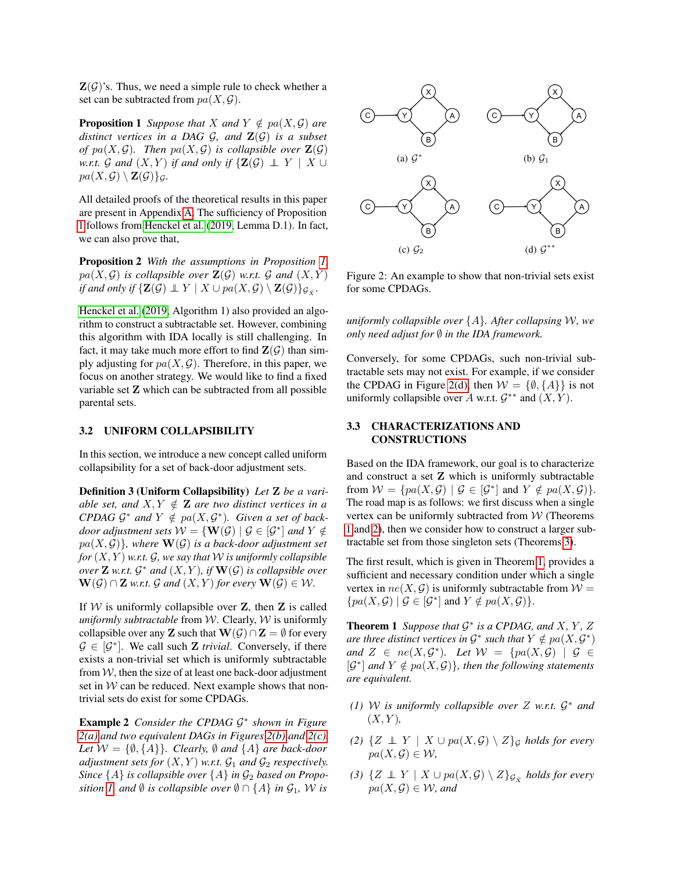$\mathbf{Z}(\mathcal{G})$ 's. Thus, we need a simple rule to check whether a set can be subtracted from  $pa(X, \mathcal{G})$ .

<span id="page-4-0"></span>**Proposition 1** *Suppose that X and*  $Y \notin pa(X, \mathcal{G})$  *are distinct vertices in a DAG* G*, and* Z(G) *is a subset of*  $pa(X, \mathcal{G})$ *. Then*  $pa(X, \mathcal{G})$  *is collapsible over*  $\mathbf{Z}(\mathcal{G})$ *w.r.t.*  $G$  *and*  $(X, Y)$  *if and only if*  $\{Z(G) \perp Y \mid X \cup Y\}$  $pa(X, \mathcal{G}) \setminus \mathbf{Z}(\mathcal{G})\}_\mathcal{G}.$ 

All detailed proofs of the theoretical results in this paper are present in Appendix [A.](#page--1-1) The sufficiency of Proposition [1](#page-4-0) follows from [Henckel et al.](#page-9-19) [\(2019,](#page-9-19) Lemma D.1). In fact, we can also prove that,

Proposition 2 *With the assumptions in Proposition [1,](#page-4-0)*  $pa(X, \mathcal{G})$  *is collapsible over*  $\mathbf{Z}(\mathcal{G})$  *w.r.t.*  $\mathcal{G}$  *and*  $(X, Y)$ *if and only if*  $\{ \mathbf{Z}(G) \perp\!\!\!\!\perp Y \mid X \cup pa(X, G) \setminus \mathbf{Z}(G) \}_{\mathcal{G}_{\bar{X}}}$ .

[Henckel et al.](#page-9-19) [\(2019,](#page-9-19) Algorithm 1) also provided an algorithm to construct a subtractable set. However, combining this algorithm with IDA locally is still challenging. In fact, it may take much more effort to find  $\mathbf{Z}(\mathcal{G})$  than simply adjusting for  $pa(X, \mathcal{G})$ . Therefore, in this paper, we focus on another strategy. We would like to find a fixed variable set Z which can be subtracted from all possible parental sets.

#### 3.2 UNIFORM COLLAPSIBILITY

In this section, we introduce a new concept called uniform collapsibility for a set of back-door adjustment sets.

Definition 3 (Uniform Collapsibility) *Let* Z *be a variable set, and*  $X, Y \notin \mathbf{Z}$  *are two distinct vertices in a CPDAG*  $\mathcal{G}^*$  and  $Y \notin pa(X, \mathcal{G}^*)$ *. Given a set of backdoor adjustment sets*  $W = \{ \mathbf{W}(\mathcal{G}) \mid \mathcal{G} \in [\mathcal{G}^*] \text{ and } Y \notin \mathcal{G} \}$  $pa(X, \mathcal{G})\}$ *, where*  $\mathbf{W}(\mathcal{G})$  *is a back-door adjustment set for*  $(X, Y)$  *w.r.t.*  $G$ *, we say that*  $W$  *is uniformly collapsible over*  $\mathbf{Z}$  *w.r.t.*  $\mathcal{G}^*$  *and*  $(X, Y)$ *, if*  $\mathbf{W}(\mathcal{G})$  *is collapsible over*  $\mathbf{W}(\mathcal{G}) \cap \mathbf{Z}$  *w.r.t.*  $\mathcal{G}$  *and*  $(X, Y)$  *for every*  $\mathbf{W}(\mathcal{G}) \in \mathcal{W}$ *.* 

If  $W$  is uniformly collapsible over  $Z$ , then  $Z$  is called *uniformly subtractable* from W. Clearly, W is uniformly collapsible over any **Z** such that  $\mathbf{W}(\mathcal{G}) \cap \mathbf{Z} = \emptyset$  for every  $\mathcal{G} \in [\mathcal{G}^*]$ . We call such **Z** *trivial*. Conversely, if there exists a non-trivial set which is uniformly subtractable from  $W$ , then the size of at least one back-door adjustment set in  $W$  can be reduced. Next example shows that nontrivial sets do exist for some CPDAGs.

Example 2 *Consider the CPDAG* G ∗ *shown in Figure [2\(a\)](#page-4-1) and two equivalent DAGs in Figures [2\(b\)](#page-4-2) and [2\(c\).](#page-4-3) Let*  $W = \{\emptyset, \{A\}\}\$ *. Clearly,*  $\emptyset$  *and*  $\{A\}$  *are back-door adjustment sets for*  $(X, Y)$  *w.r.t.*  $\mathcal{G}_1$  *and*  $\mathcal{G}_2$  *respectively. Since*  $\{A\}$  *is collapsible over*  $\{A\}$  *in*  $\mathcal{G}_2$  *based on Proposition 1,* and  $\emptyset$  *is collapsible over*  $\emptyset \cap \{A\}$  *in*  $\mathcal{G}_1$ *, W is* 

<span id="page-4-3"></span><span id="page-4-2"></span><span id="page-4-1"></span>

<span id="page-4-4"></span>Figure 2: An example to show that non-trivial sets exist for some CPDAGs.

*uniformly collapsible over* {A}*. After collapsing* W*, we only need adjust for ♦ <i>in the IDA framework.* 

Conversely, for some CPDAGs, such non-trivial subtractable sets may not exist. For example, if we consider the CPDAG in Figure [2\(d\),](#page-4-4) then  $W = \{\emptyset, \{A\}\}\$ is not uniformly collapsible over A w.r.t.  $G^{**}$  and  $(X, Y)$ .

### 3.3 CHARACTERIZATIONS AND **CONSTRUCTIONS**

Based on the IDA framework, our goal is to characterize and construct a set Z which is uniformly subtractable from  $W = \{ pa(X, \mathcal{G}) \mid \mathcal{G} \in [\mathcal{G}^*] \text{ and } Y \notin pa(X, \mathcal{G}) \}.$ The road map is as follows: we first discuss when a single vertex can be uniformly subtracted from  $W$  (Theorems [1](#page-4-5) and [2\)](#page-5-0), then we consider how to construct a larger subtractable set from those singleton sets (Theorems [3\)](#page-5-1).

The first result, which is given in Theorem [1,](#page-4-5) provides a sufficient and necessary condition under which a single vertex in  $ne(X, \mathcal{G})$  is uniformly subtractable from  $\mathcal{W} =$  $\{pa(X, \mathcal{G}) \mid \mathcal{G} \in [\mathcal{G}^*] \text{ and } Y \notin pa(X, \mathcal{G})\}.$ 

<span id="page-4-5"></span>**Theorem 1** Suppose that  $G^*$  is a CPDAG, and X, Y, Z are three distinct vertices in  $\mathcal{G}^*$  such that  $Y \notin pa(X, \mathcal{G}^*)$ and  $Z \in ne(X, \mathcal{G}^*)$ . Let  $\mathcal{W} = \{pa(X, \mathcal{G}) \mid \mathcal{G} \in$  $[\mathcal{G}^*]$  and  $Y \notin pa(X, \mathcal{G})\}$ , then the following statements *are equivalent.*

- *(1)* W *is uniformly collapsible over* Z *w.r.t.* G <sup>∗</sup> *and*  $(X, Y)$ ,
- *(2)* { $Z ⊥ Y | X ∪ pa(X, G) \ \ Z$ }*G holds for every*  $pa(X, \mathcal{G}) \in \mathcal{W}$ ,
- *(3)* { $Z ⊥ Y | X ∪ pa(X, G) \ \ Z} <sub>G</sub>$ <sub>*₹</sub> holds for every</i></sub>*  $pa(X, \mathcal{G}) \in \mathcal{W}$ , and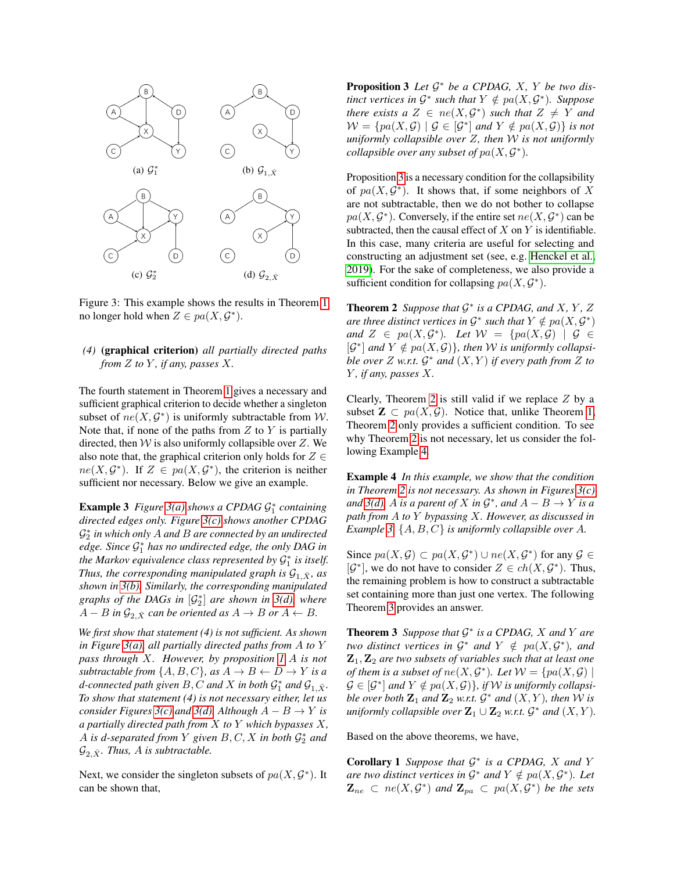<span id="page-5-4"></span><span id="page-5-3"></span><span id="page-5-2"></span>

<span id="page-5-5"></span>Figure 3: This example shows the results in Theorem [1](#page-4-5) no longer hold when  $Z \in pa(X, \mathcal{G}^*)$ .

## *(4)* (graphical criterion) *all partially directed paths from*  $Z$  *to*  $Y$ *, if any, passes*  $X$ *.*

The fourth statement in Theorem [1](#page-4-5) gives a necessary and sufficient graphical criterion to decide whether a singleton subset of  $ne(X, \mathcal{G}^*)$  is uniformly subtractable from W. Note that, if none of the paths from  $Z$  to  $Y$  is partially directed, then  $W$  is also uniformly collapsible over Z. We also note that, the graphical criterion only holds for  $Z \in$  $ne(X, \mathcal{G}^*)$ . If  $Z \in pa(X, \mathcal{G}^*)$ , the criterion is neither sufficient nor necessary. Below we give an example.

<span id="page-5-8"></span>**Example 3** Figure [3\(a\)](#page-5-2) shows a CPDAG  $\mathcal{G}_1^*$  containing *directed edges only. Figure [3\(c\)](#page-5-3) shows another CPDAG* G ∗ 2 *in which only* A *and* B *are connected by an undirected edge. Since* G ∗ <sup>1</sup> *has no undirected edge, the only DAG in* the Markov equivalence class represented by  $\mathcal{G}_1^*$  is itself. *Thus, the corresponding manipulated graph is*  $G_{1,\bar{X}}$ *, as shown in [3\(b\).](#page-5-4) Similarly, the corresponding manipulated graphs of the DAGs in*  $[\mathcal{G}_2^*]$  *are shown in*  $3(d)$ *, where*  $A - B$  *in*  $\mathcal{G}_{2, \bar{X}}$  *can be oriented as*  $A \rightarrow B$  *or*  $A \leftarrow B$ *.* 

*We first show that statement (4) is not sufficient. As shown in Figure [3\(a\),](#page-5-2) all partially directed paths from* A *to* Y *pass through* X*. However, by proposition [1](#page-4-0)* A *is not subtractable from*  $\{A, B, C\}$ *, as*  $A \rightarrow B \leftarrow D \rightarrow Y$  *is a* d-connected path given  $B, C$  and  $X$  in both  $\mathcal{G}_1^*$  and  $\mathcal{G}_{1, \bar{X}}$ *. To show that statement (4) is not necessary either, let us consider Figures 3(c) and 3(d)*. Although  $A - B \rightarrow Y$  *is a partially directed path from* X *to* Y *which bypasses* X*,* A is d-separated from Y given  $B, C, X$  in both  $\mathcal{G}_2^*$  and  $\mathcal{G}_{2,\bar{X}}$ *. Thus, A is subtractable.* 

<span id="page-5-6"></span>Next, we consider the singleton subsets of  $pa(X, \mathcal{G}^*)$ . It can be shown that,

Proposition 3 *Let* G <sup>∗</sup> *be a CPDAG,* X*,* Y *be two distinct vertices in*  $\mathcal{G}^*$  *such that*  $Y \notin pa(X, \mathcal{G}^*)$ *. Suppose there exists a*  $Z \in ne(X, \mathcal{G}^*)$  *such that*  $Z \neq Y$  *and*  $\mathcal{W} = \{ pa(X, \mathcal{G}) \mid \mathcal{G} \in [\mathcal{G}^*] \text{ and } Y \notin pa(X, \mathcal{G}) \} \text{ is not}$ *uniformly collapsible over* Z*, then* W *is not uniformly collapsible over any subset of*  $pa(X, \mathcal{G}^*)$ *.* 

Proposition [3](#page-5-6) is a necessary condition for the collapsibility of  $pa(X, \mathcal{G}^*)$ . It shows that, if some neighbors of X are not subtractable, then we do not bother to collapse  $pa(X, \mathcal{G}^*)$ . Conversely, if the entire set  $ne(X, \mathcal{G}^*)$  can be subtracted, then the causal effect of  $X$  on  $Y$  is identifiable. In this case, many criteria are useful for selecting and constructing an adjustment set (see, e.g. [Henckel et al.,](#page-9-19) [2019\)](#page-9-19). For the sake of completeness, we also provide a sufficient condition for collapsing  $pa(X, \mathcal{G}^*)$ .

<span id="page-5-0"></span>**Theorem 2** Suppose that  $G^*$  is a CPDAG, and X, Y, Z are three distinct vertices in  $\mathcal{G}^*$  such that  $Y \notin pa(X, \mathcal{G}^*)$ and  $Z \in pa(X, \mathcal{G}^*)$ . Let  $\mathcal{W} = \{pa(X, \mathcal{G}) \mid \mathcal{G} \in$  $[\mathcal{G}^*]$  and  $Y \notin pa(X, \mathcal{G})\}$ , then W is uniformly collapsi*ble over*  $Z$  *w.r.t.*  $G^*$  *and*  $(X, Y)$  *if every path from*  $Z$  *to* Y *, if any, passes* X*.*

Clearly, Theorem [2](#page-5-0) is still valid if we replace  $Z$  by a subset  $\mathbf{Z} \subset pa(X, \mathcal{G})$ . Notice that, unlike Theorem [1,](#page-4-5) Theorem [2](#page-5-0) only provides a sufficient condition. To see why Theorem [2](#page-5-0) is not necessary, let us consider the following Example [4.](#page-5-7)

<span id="page-5-7"></span>Example 4 *In this example, we show that the condition in Theorem [2](#page-5-0) is not necessary. As shown in Figures [3\(c\)](#page-5-3) and* 3(*d*), A *is a parent of* X *in*  $\mathcal{G}^*$ *, and*  $A - B \to Y$  *is a path from* A *to* Y *bypassing* X*. However, as discussed in Example [3,](#page-5-8)* {A, B, C} *is uniformly collapsible over* A*.*

Since  $pa(X, \mathcal{G}) \subset pa(X, \mathcal{G}^*) \cup ne(X, \mathcal{G}^*)$  for any  $\mathcal{G} \in$  $[\mathcal{G}^*]$ , we do not have to consider  $Z \in ch(X, \mathcal{G}^*)$ . Thus, the remaining problem is how to construct a subtractable set containing more than just one vertex. The following Theorem [3](#page-5-1) provides an answer.

<span id="page-5-1"></span>Theorem 3 *Suppose that* G ∗ *is a CPDAG,* X *and* Y *are two distinct vertices in*  $\mathcal{G}^*$  *and*  $Y \notin pa(X, \mathcal{G}^*)$ *, and*  $\mathbf{Z}_1, \mathbf{Z}_2$  are two subsets of variables such that at least one *of them is a subset of ne* $(X, \mathcal{G}^*)$ *. Let*  $\mathcal{W} = \{pa(X, \mathcal{G}) \mid$  $\mathcal{G} \in [\mathcal{G}^*]$  and  $Y \notin pa(X, \mathcal{G})\}$ , if W is uniformly collapsi*ble over both*  $\mathbf{Z}_1$  *and*  $\mathbf{Z}_2$  *w.r.t.*  $\mathcal{G}^*$  *and*  $(X, Y)$ *, then* W *is*  $\mathcal{L}_1 \cup \mathbf{Z}_2$  *w.r.t.*  $\mathcal{G}^*$  *and*  $(X, Y)$ *.* 

<span id="page-5-9"></span>Based on the above theorems, we have,

Corollary 1 *Suppose that* G ∗ *is a CPDAG,* X *and* Y *are two distinct vertices in*  $G^*$  *and*  $Y \notin pa(X, G^*)$ *. Let*  $\mathbf{Z}_{ne} \subset ne(X, \mathcal{G}^*)$  and  $\mathbf{Z}_{pa} \subset pa(X, \mathcal{G}^*)$  be the sets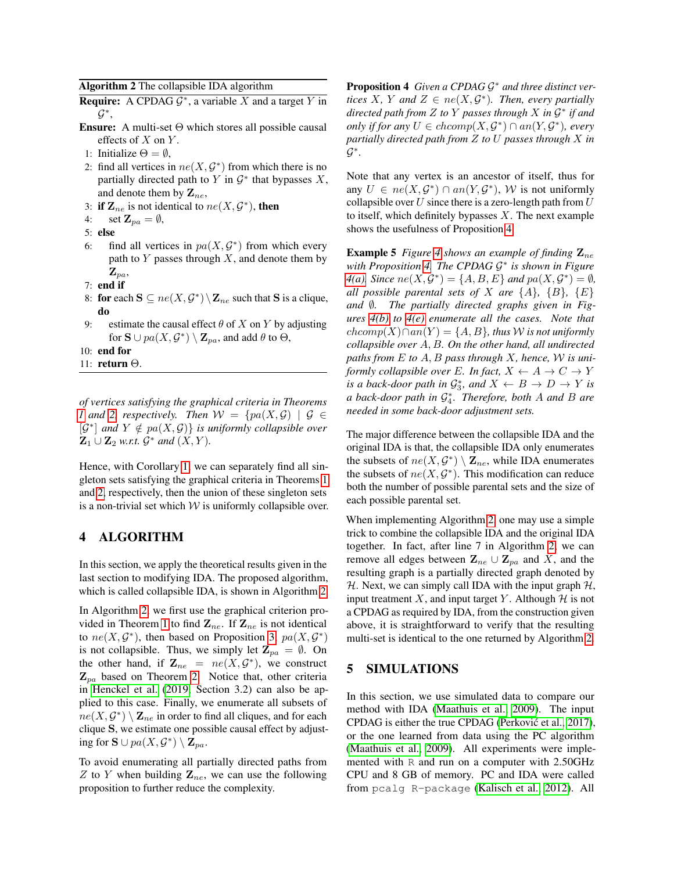<span id="page-6-0"></span>Algorithm 2 The collapsible IDA algorithm

**Require:** A CPDAG  $G^*$ , a variable X and a target Y in  $\mathcal{G}^*$ ,

- **Ensure:** A multi-set  $\Theta$  which stores all possible causal effects of  $X$  on  $Y$ .
- 1: Initialize  $\Theta = \emptyset$ ,
- 2: find all vertices in  $ne(X, \mathcal{G}^*)$  from which there is no partially directed path to Y in  $G^*$  that bypasses X, and denote them by  $\mathbf{Z}_{ne}$ ,
- 3: if  $\mathbf{Z}_{ne}$  is not identical to  $ne(X, \mathcal{G}^*)$ , then
- 4: set  $\mathbf{Z}_{pa} = \emptyset$ ,
- 5: else
- 6: find all vertices in  $pa(X, \mathcal{G}^*)$  from which every path to  $Y$  passes through  $X$ , and denote them by  $\mathbf{Z}_{pa}$
- 7: end if
- 8: for each  $S \subseteq ne(X, \mathcal{G}^*) \setminus \mathbf{Z}_{ne}$  such that S is a clique, do
- 9: estimate the causal effect  $\theta$  of X on Y by adjusting for  $\mathbf{S} \cup pa(X, \mathcal{G}^*) \setminus \mathbf{Z}_{pa}$ , and add  $\theta$  to  $\Theta$ ,

10: end for

11: return Θ.

*of vertices satisfying the graphical criteria in Theorems [1](#page-4-5)* and [2,](#page-5-0) respectively. Then  $W = \{pa(X, G) | G \in$  $[\mathcal{G}^*]$  and  $Y \notin pa(X, \mathcal{G})$  *is uniformly collapsible over*  $\mathbf{Z}_1 \cup \mathbf{Z}_2$  *w.r.t.*  $\mathcal{G}^*$  *and*  $(X, Y)$ *.* 

Hence, with Corollary [1,](#page-5-9) we can separately find all singleton sets satisfying the graphical criteria in Theorems [1](#page-4-5) and [2,](#page-5-0) respectively, then the union of these singleton sets is a non-trivial set which  $W$  is uniformly collapsible over.

## <span id="page-6-2"></span>4 ALGORITHM

In this section, we apply the theoretical results given in the last section to modifying IDA. The proposed algorithm, which is called collapsible IDA, is shown in Algorithm [2.](#page-6-0)

In Algorithm [2,](#page-6-0) we first use the graphical criterion pro-vided in Theorem [1](#page-4-5) to find  $\mathbf{Z}_{ne}$ . If  $\mathbf{Z}_{ne}$  is not identical to  $ne(X, \mathcal{G}^*)$ , then based on Proposition [3,](#page-5-6)  $pa(X, \mathcal{G}^*)$ is not collapsible. Thus, we simply let  $\mathbf{Z}_{pa} = \emptyset$ . On the other hand, if  $\mathbf{Z}_{ne} = ne(X, \mathcal{G}^*)$ , we construct  $\mathbf{Z}_{pa}$  based on Theorem [2.](#page-5-0) Notice that, other criteria in [Henckel et al.](#page-9-19) [\(2019,](#page-9-19) Section 3.2) can also be applied to this case. Finally, we enumerate all subsets of  $ne(X, \mathcal{G}^*) \setminus \mathbf{Z}_{ne}$  in order to find all cliques, and for each clique S, we estimate one possible causal effect by adjusting for  $\mathbf{S} \cup pa(X, \mathcal{G}^*) \setminus \mathbf{Z}_{pa}$ .

<span id="page-6-1"></span>To avoid enumerating all partially directed paths from Z to Y when building  $\mathbf{Z}_{ne}$ , we can use the following proposition to further reduce the complexity.

Proposition 4 Given a CPDAG  $G^*$  and three distinct ver*tices*  $X$ *,*  $Y$  and  $Z \in ne(X, \mathcal{G}^*)$ *. Then, every partially directed path from* Z *to* Y *passes through* X *in* G ∗ *if and only if for any*  $U \in chcomp(X, \mathcal{G}^*) \cap an(Y, \mathcal{G}^*)$ , every *partially directed path from* Z *to* U *passes through* X *in* G ∗ *.*

Note that any vertex is an ancestor of itself, thus for any  $U \in ne(X, \mathcal{G}^*) \cap an(Y, \mathcal{G}^*)$ , W is not uniformly collapsible over U since there is a zero-length path from  $U$ to itself, which definitely bypasses  $X$ . The next example shows the usefulness of Proposition [4.](#page-6-1)

**Example 5** *Figure* [4](#page-7-0) *shows an example of finding*  $\mathbf{Z}_{ne}$ *with Proposition [4.](#page-6-1) The CPDAG* G ∗ *is shown in Figure [4\(a\).](#page-7-1) Since*  $ne(X, \mathcal{G}^*) = \{A, B, E\}$  *and*  $pa(X, \mathcal{G}^*) = \emptyset$ , *all possible parental sets of* X *are*  $\{A\}$ ,  $\{B\}$ ,  $\{E\}$ *and* ∅*. The partially directed graphs given in Figures [4\(b\)](#page-7-2) to [4\(e\)](#page-7-3) enumerate all the cases. Note that*  $chcomp(X) \cap an(Y) = \{A, B\}$ , thus *W* is not uniformly *collapsible over* A, B*. On the other hand, all undirected paths from* E *to* A, B *pass through* X*, hence,* W *is uniformly collapsible over* E. In fact,  $X \leftarrow A \rightarrow C \rightarrow Y$ *is a back-door path in*  $\mathcal{G}_3^*$ *, and*  $X \leftarrow B \rightarrow D \rightarrow Y$  *is a back-door path in* G ∗ 4 *. Therefore, both* A *and* B *are needed in some back-door adjustment sets.*

The major difference between the collapsible IDA and the original IDA is that, the collapsible IDA only enumerates the subsets of  $ne(X, \mathcal{G}^*) \setminus \mathbf{Z}_{ne}$ , while IDA enumerates the subsets of  $ne(X, \mathcal{G}^*)$ . This modification can reduce both the number of possible parental sets and the size of each possible parental set.

When implementing Algorithm [2,](#page-6-0) one may use a simple trick to combine the collapsible IDA and the original IDA together. In fact, after line 7 in Algorithm [2,](#page-6-0) we can remove all edges between  $\mathbf{Z}_{ne} \cup \mathbf{Z}_{pa}$  and X, and the resulting graph is a partially directed graph denoted by H. Next, we can simply call IDA with the input graph  $H$ , input treatment X, and input target Y. Although  $H$  is not a CPDAG as required by IDA, from the construction given above, it is straightforward to verify that the resulting multi-set is identical to the one returned by Algorithm [2.](#page-6-0)

## 5 SIMULATIONS

In this section, we use simulated data to compare our method with IDA [\(Maathuis et al., 2009\)](#page-9-15). The input CPDAG is either the true CPDAG (Perković et al., 2017), or the one learned from data using the PC algorithm [\(Maathuis et al., 2009\)](#page-9-15). All experiments were implemented with R and run on a computer with 2.50GHz CPU and 8 GB of memory. PC and IDA were called from pcalg R-package [\(Kalisch et al., 2012\)](#page-9-25). All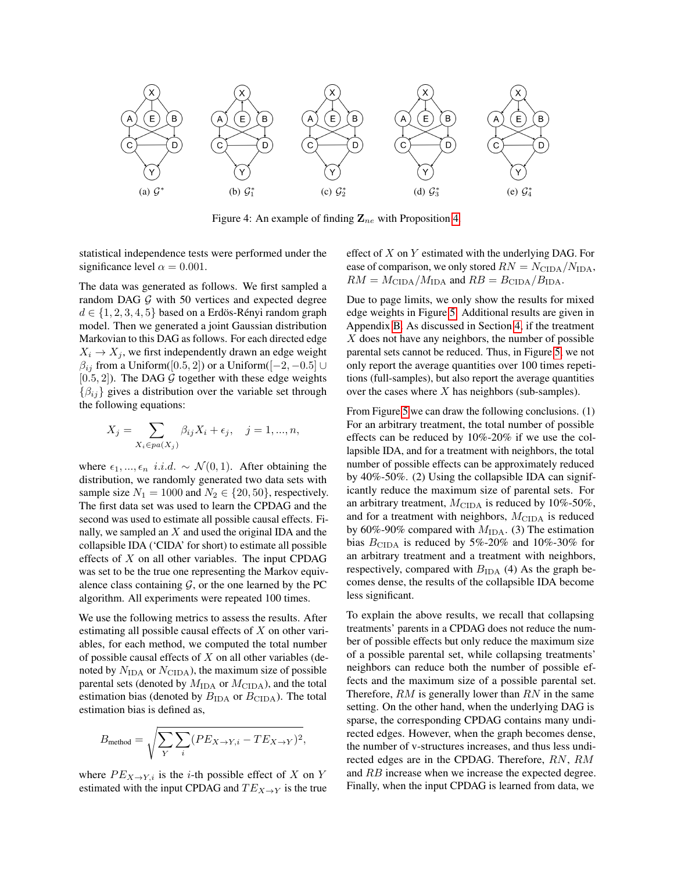<span id="page-7-1"></span>

<span id="page-7-2"></span><span id="page-7-0"></span>Figure 4: An example of finding  $\mathbf{Z}_{ne}$  with Proposition [4.](#page-6-1)

statistical independence tests were performed under the significance level  $\alpha = 0.001$ .

The data was generated as follows. We first sampled a random DAG  $G$  with 50 vertices and expected degree  $d \in \{1, 2, 3, 4, 5\}$  based on a Erdös-Rényi random graph model. Then we generated a joint Gaussian distribution Markovian to this DAG as follows. For each directed edge  $X_i \rightarrow X_j$ , we first independently drawn an edge weight  $\beta_{ij}$  from a Uniform([0.5, 2]) or a Uniform([-2, -0.5] ∪  $[0.5, 2]$ ). The DAG G together with these edge weights  $\{\beta_{ij}\}\$  gives a distribution over the variable set through the following equations:

$$
X_j = \sum_{X_i \in pa(X_j)} \beta_{ij} X_i + \epsilon_j, \quad j = 1, ..., n,
$$

where  $\epsilon_1, ..., \epsilon_n$  *i.i.d.* ~  $\mathcal{N}(0, 1)$ . After obtaining the distribution, we randomly generated two data sets with sample size  $N_1 = 1000$  and  $N_2 \in \{20, 50\}$ , respectively. The first data set was used to learn the CPDAG and the second was used to estimate all possible causal effects. Finally, we sampled an  $X$  and used the original IDA and the collapsible IDA ('CIDA' for short) to estimate all possible effects of  $X$  on all other variables. The input CPDAG was set to be the true one representing the Markov equivalence class containing  $\mathcal{G}$ , or the one learned by the PC algorithm. All experiments were repeated 100 times.

We use the following metrics to assess the results. After estimating all possible causal effects of  $X$  on other variables, for each method, we computed the total number of possible causal effects of  $X$  on all other variables (denoted by  $N_{\text{IDA}}$  or  $N_{\text{CIDA}}$ ), the maximum size of possible parental sets (denoted by  $M_{\text{IDA}}$  or  $M_{\text{CIDA}}$ ), and the total estimation bias (denoted by  $B_{\text{IDA}}$  or  $B_{\text{CIDA}}$ ). The total estimation bias is defined as,

$$
B_{\text{method}} = \sqrt{\sum_{Y} \sum_{i} (PE_{X \to Y, i} - TE_{X \to Y})^2},
$$

where  $PE_{X \to Y,i}$  is the *i*-th possible effect of X on Y estimated with the input CPDAG and  $TE_{X\to Y}$  is the true <span id="page-7-3"></span>effect of  $X$  on  $Y$  estimated with the underlying DAG. For ease of comparison, we only stored  $RN = N_{\text{CIDA}}/N_{\text{IDA}}$ ,  $RM = M_{\text{CIDA}}/M_{\text{IDA}}$  and  $RB = B_{\text{CIDA}}/B_{\text{IDA}}$ .

Due to page limits, we only show the results for mixed edge weights in Figure [5.](#page-8-0) Additional results are given in Appendix [B.](#page--1-2) As discussed in Section [4,](#page-6-2) if the treatment  $X$  does not have any neighbors, the number of possible parental sets cannot be reduced. Thus, in Figure [5,](#page-8-0) we not only report the average quantities over 100 times repetitions (full-samples), but also report the average quantities over the cases where  $X$  has neighbors (sub-samples).

From Figure [5](#page-8-0) we can draw the following conclusions. (1) For an arbitrary treatment, the total number of possible effects can be reduced by 10%-20% if we use the collapsible IDA, and for a treatment with neighbors, the total number of possible effects can be approximately reduced by 40%-50%. (2) Using the collapsible IDA can significantly reduce the maximum size of parental sets. For an arbitrary treatment,  $M_{\text{CIDA}}$  is reduced by 10%-50%, and for a treatment with neighbors,  $M_{\text{CIDA}}$  is reduced by 60%-90% compared with  $M<sub>IDA</sub>$ . (3) The estimation bias  $B_{\text{CIDA}}$  is reduced by 5%-20% and 10%-30% for an arbitrary treatment and a treatment with neighbors, respectively, compared with  $B_{\text{IDA}}$  (4) As the graph becomes dense, the results of the collapsible IDA become less significant.

To explain the above results, we recall that collapsing treatments' parents in a CPDAG does not reduce the number of possible effects but only reduce the maximum size of a possible parental set, while collapsing treatments' neighbors can reduce both the number of possible effects and the maximum size of a possible parental set. Therefore,  $RM$  is generally lower than  $RN$  in the same setting. On the other hand, when the underlying DAG is sparse, the corresponding CPDAG contains many undirected edges. However, when the graph becomes dense, the number of v-structures increases, and thus less undirected edges are in the CPDAG. Therefore, RN, RM and RB increase when we increase the expected degree. Finally, when the input CPDAG is learned from data, we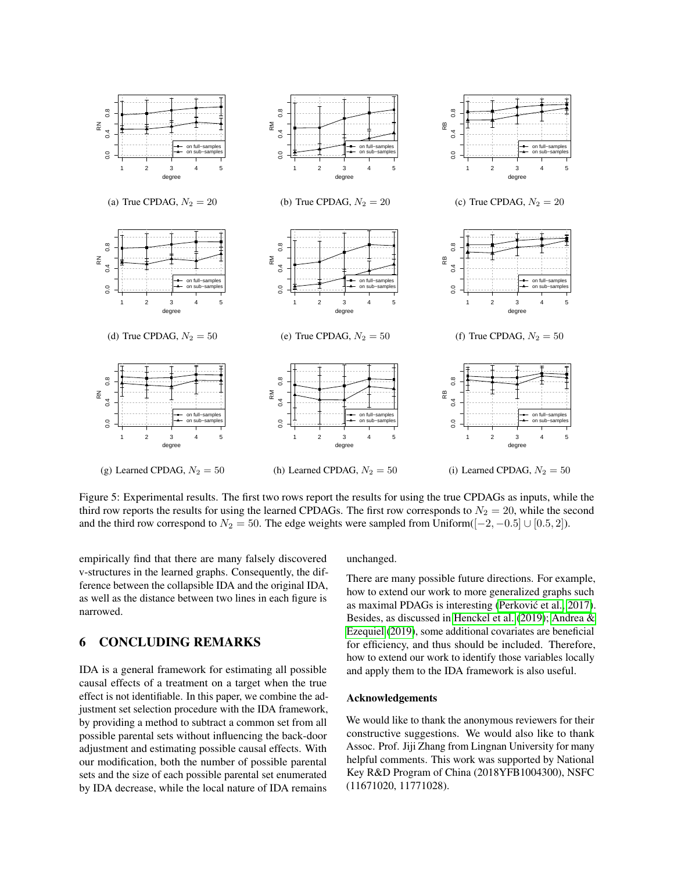

<span id="page-8-0"></span>Figure 5: Experimental results. The first two rows report the results for using the true CPDAGs as inputs, while the third row reports the results for using the learned CPDAGs. The first row corresponds to  $N_2 = 20$ , while the second and the third row correspond to  $N_2 = 50$ . The edge weights were sampled from Uniform([ $-2, -0.5$ ] ∪ [0.5, 2]).

empirically find that there are many falsely discovered v-structures in the learned graphs. Consequently, the difference between the collapsible IDA and the original IDA, as well as the distance between two lines in each figure is narrowed.

## 6 CONCLUDING REMARKS

IDA is a general framework for estimating all possible causal effects of a treatment on a target when the true effect is not identifiable. In this paper, we combine the adjustment set selection procedure with the IDA framework, by providing a method to subtract a common set from all possible parental sets without influencing the back-door adjustment and estimating possible causal effects. With our modification, both the number of possible parental sets and the size of each possible parental set enumerated by IDA decrease, while the local nature of IDA remains

#### unchanged.

There are many possible future directions. For example, how to extend our work to more generalized graphs such as maximal PDAGs is interesting (Perković et al., 2017). Besides, as discussed in [Henckel et al.](#page-9-19) [\(2019\)](#page-9-19); [Andrea &](#page-9-20) [Ezequiel](#page-9-20) [\(2019\)](#page-9-20), some additional covariates are beneficial for efficiency, and thus should be included. Therefore, how to extend our work to identify those variables locally and apply them to the IDA framework is also useful.

#### Acknowledgements

We would like to thank the anonymous reviewers for their constructive suggestions. We would also like to thank Assoc. Prof. Jiji Zhang from Lingnan University for many helpful comments. This work was supported by National Key R&D Program of China (2018YFB1004300), NSFC (11671020, 11771028).